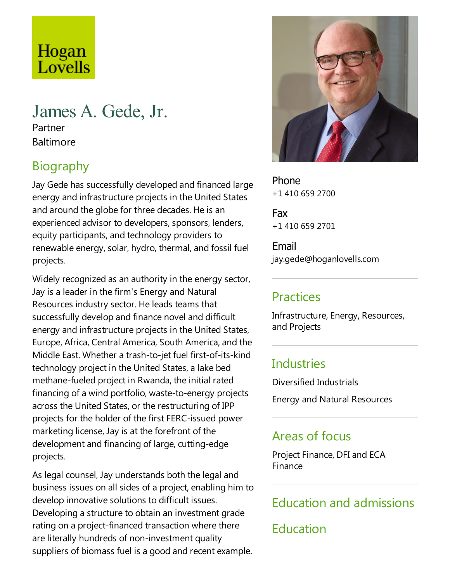# Hogan Lovells

# James A. Gede, Jr.

Partner **Baltimore** 

# Biography

Jay Gede has successfully developed and financed large energy and infrastructure projects in the United States and around the globe for three decades. He is an experienced advisor to developers, sponsors, lenders, equity participants, and technology providers to renewable energy, solar, hydro, thermal, and fossil fuel projects.

Widely recognized as an authority in the energy sector, Jay is a leader in the firm's Energy and Natural Resources industry sector. Heleads teams that successfully develop and finance novel and difficult energy and infrastructure projects in the United States, Europe, Africa, Central America, South America, and the Middle East. Whether a trash-to-jet fuel first-of-its-kind technology project in the United States, a lake bed methane-fueled project in Rwanda, the initial rated financing of a wind portfolio, waste-to-energy projects across the United States, or the restructuring of IPP projects for the holder of the first FERC-issued power marketing license, Jay is at the forefront of the development and financing of large, cutting-edge projects.

As legal counsel, Jay understands both thelegal and business issues on all sides of a project, enabling him to develop innovative solutions to difficult issues. Developing a structure to obtain an investment grade rating on a project-financed transaction where there are literally hundreds of non-investment quality suppliers of biomass fuel is a good and recent example.



Phone +1 410 659 2700

Fax +1 410 659 2701

Email jay.gede@hoganlovells.com

#### Practices

Infrastructure, Energy, Resources, and Projects

## **Industries**

Diversified Industrials

Energy and Natural Resources

## Areas of focus

Project Finance, DFI and ECA Finance

# Education and admissions

Education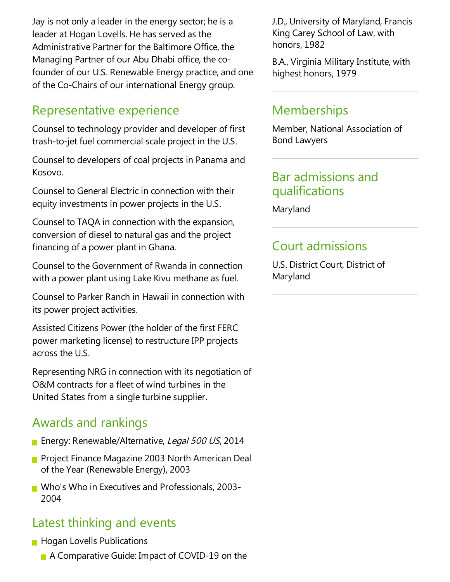Jay is not only a leader in the energy sector; he is a leader at Hogan Lovells. He has served as the Administrative Partner for the Baltimore Office, the Managing Partner of our Abu Dhabi office, the cofounder of our U.S. Renewable Energy practice, and one of the Co-Chairs of our international Energy group.

#### Representative experience

Counsel to technology provider and developer of first trash-to-jet fuel commercial scale project in the U.S.

Counsel to developers of coal projects in Panama and Kosovo.

Counsel to General Electric in connection with their equity investments in power projects in the U.S.

Counsel to TAQA in connection with the expansion, conversion of diesel to natural gas and the project financing of a power plant in Ghana.

Counsel to the Government of Rwanda in connection with a power plant using Lake Kivu methane as fuel.

Counsel to Parker Ranch in Hawaii in connection with its power project activities.

Assisted Citizens Power (the holder of the first FERC power marketing license) to restructure IPP projects across the U.S.

Representing NRG in connection with its negotiation of O&M contracts for afleet of wind turbines in the United States from a single turbine supplier.

# Awards and rankings

- **Energy: Renewable/Alternative, Legal 500 US, 2014**
- **Project Finance Magazine 2003 North American Deal** of the Year (Renewable Energy), 2003
- Who's Who in Executives and Professionals, 2003-2004

## Latest thinking and events

- **Hogan Lovells Publications** 
	- A Comparative Guide: Impact of COVID-19 on the

J.D., University of Maryland, Francis King Carey School of Law, with honors, 1982

B.A., Virginia Military Institute, with highest honors, 1979

#### **Memberships**

Member, National Association of Bond Lawyers

#### Bar admissions and qualifications

Maryland

## **Court admissions**

U.S. District Court, District of Maryland